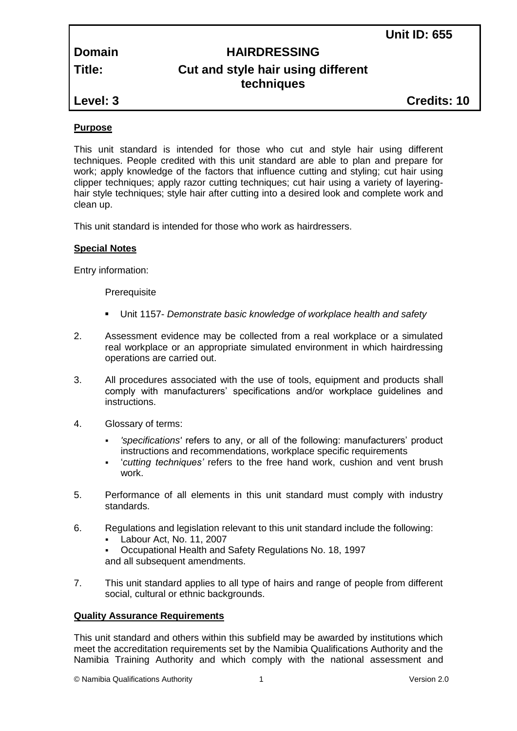# **Domain HAIRDRESSING Title: Cut and style hair using different techniques**

# **Purpose**

This unit standard is intended for those who cut and style hair using different techniques. People credited with this unit standard are able to plan and prepare for work; apply knowledge of the factors that influence cutting and styling; cut hair using clipper techniques; apply razor cutting techniques; cut hair using a variety of layeringhair style techniques; style hair after cutting into a desired look and complete work and clean up.

This unit standard is intended for those who work as hairdressers.

# **Special Notes**

Entry information:

**Prerequisite** 

- Unit 1157- *Demonstrate basic knowledge of workplace health and safety*
- 2. Assessment evidence may be collected from a real workplace or a simulated real workplace or an appropriate simulated environment in which hairdressing operations are carried out.
- 3. All procedures associated with the use of tools, equipment and products shall comply with manufacturers' specifications and/or workplace guidelines and instructions.
- 4. Glossary of terms:
	- *'specifications'* refers to any, or all of the following: manufacturers' product instructions and recommendations, workplace specific requirements
	- '*cutting techniques'* refers to the free hand work, cushion and vent brush work.
- 5. Performance of all elements in this unit standard must comply with industry standards.
- 6. Regulations and legislation relevant to this unit standard include the following:
	- Labour Act, No. 11, 2007
	- Occupational Health and Safety Regulations No. 18, 1997

and all subsequent amendments.

7. This unit standard applies to all type of hairs and range of people from different social, cultural or ethnic backgrounds.

# **Quality Assurance Requirements**

This unit standard and others within this subfield may be awarded by institutions which meet the accreditation requirements set by the Namibia Qualifications Authority and the Namibia Training Authority and which comply with the national assessment and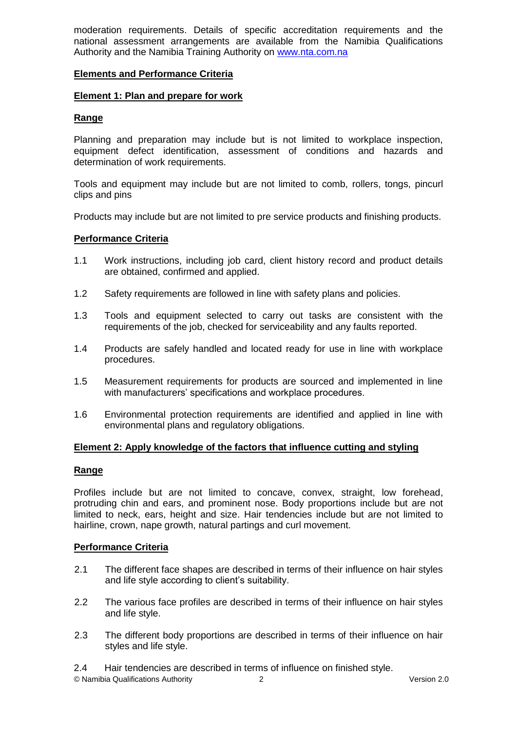moderation requirements. Details of specific accreditation requirements and the national assessment arrangements are available from the Namibia Qualifications Authority and the Namibia Training Authority on [www.nta.com.na](http://www.nta.com.na/)

# **Elements and Performance Criteria**

#### **Element 1: Plan and prepare for work**

#### **Range**

Planning and preparation may include but is not limited to workplace inspection, equipment defect identification, assessment of conditions and hazards and determination of work requirements.

Tools and equipment may include but are not limited to comb, rollers, tongs, pincurl clips and pins

Products may include but are not limited to pre service products and finishing products.

#### **Performance Criteria**

- 1.1 Work instructions, including job card, client history record and product details are obtained, confirmed and applied.
- 1.2 Safety requirements are followed in line with safety plans and policies.
- 1.3 Tools and equipment selected to carry out tasks are consistent with the requirements of the job, checked for serviceability and any faults reported.
- 1.4 Products are safely handled and located ready for use in line with workplace procedures.
- 1.5 Measurement requirements for products are sourced and implemented in line with manufacturers' specifications and workplace procedures.
- 1.6 Environmental protection requirements are identified and applied in line with environmental plans and regulatory obligations.

#### **Element 2: Apply knowledge of the factors that influence cutting and styling**

#### **Range**

Profiles include but are not limited to concave, convex, straight, low forehead, protruding chin and ears, and prominent nose. Body proportions include but are not limited to neck, ears, height and size. Hair tendencies include but are not limited to hairline, crown, nape growth, natural partings and curl movement.

#### **Performance Criteria**

- 2.1 The different face shapes are described in terms of their influence on hair styles and life style according to client's suitability.
- 2.2 The various face profiles are described in terms of their influence on hair styles and life style.
- 2.3 The different body proportions are described in terms of their influence on hair styles and life style.

2.4 Hair tendencies are described in terms of influence on finished style.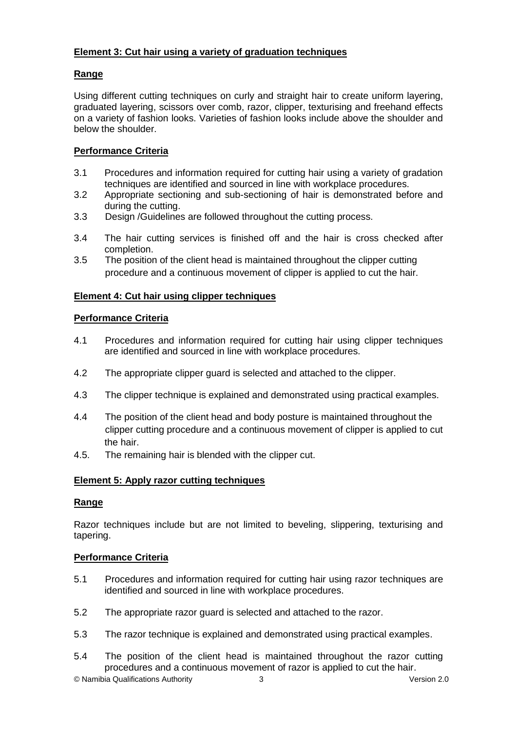# **Element 3: Cut hair using a variety of graduation techniques**

# **Range**

Using different cutting techniques on curly and straight hair to create uniform layering, graduated layering, scissors over comb, razor, clipper, texturising and freehand effects on a variety of fashion looks. Varieties of fashion looks include above the shoulder and below the shoulder.

# **Performance Criteria**

- 3.1 Procedures and information required for cutting hair using a variety of gradation techniques are identified and sourced in line with workplace procedures.
- 3.2 Appropriate sectioning and sub-sectioning of hair is demonstrated before and during the cutting.
- 3.3 Design /Guidelines are followed throughout the cutting process.
- 3.4 The hair cutting services is finished off and the hair is cross checked after completion.
- 3.5 The position of the client head is maintained throughout the clipper cutting procedure and a continuous movement of clipper is applied to cut the hair.

# **Element 4: Cut hair using clipper techniques**

# **Performance Criteria**

- 4.1 Procedures and information required for cutting hair using clipper techniques are identified and sourced in line with workplace procedures.
- 4.2 The appropriate clipper guard is selected and attached to the clipper.
- 4.3 The clipper technique is explained and demonstrated using practical examples.
- 4.4 The position of the client head and body posture is maintained throughout the clipper cutting procedure and a continuous movement of clipper is applied to cut the hair.
- 4.5. The remaining hair is blended with the clipper cut.

# **Element 5: Apply razor cutting techniques**

# **Range**

Razor techniques include but are not limited to beveling, slippering, texturising and tapering.

# **Performance Criteria**

- 5.1 Procedures and information required for cutting hair using razor techniques are identified and sourced in line with workplace procedures.
- 5.2 The appropriate razor guard is selected and attached to the razor.
- 5.3 The razor technique is explained and demonstrated using practical examples.
- 5.4 The position of the client head is maintained throughout the razor cutting procedures and a continuous movement of razor is applied to cut the hair.

© Namibia Qualifications Authority 3 Version 2.0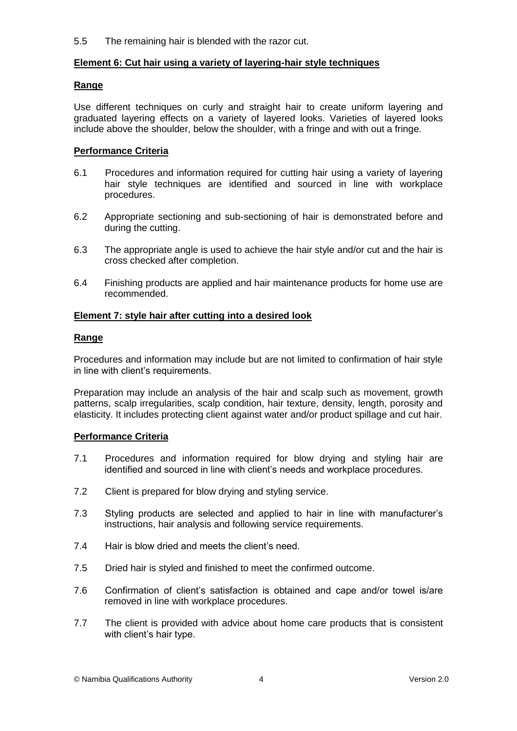5.5 The remaining hair is blended with the razor cut.

#### **Element 6: Cut hair using a variety of layering-hair style techniques**

#### **Range**

Use different techniques on curly and straight hair to create uniform layering and graduated layering effects on a variety of layered looks. Varieties of layered looks include above the shoulder, below the shoulder, with a fringe and with out a fringe.

#### **Performance Criteria**

- 6.1 Procedures and information required for cutting hair using a variety of layering hair style techniques are identified and sourced in line with workplace procedures.
- 6.2 Appropriate sectioning and sub-sectioning of hair is demonstrated before and during the cutting.
- 6.3 The appropriate angle is used to achieve the hair style and/or cut and the hair is cross checked after completion.
- 6.4 Finishing products are applied and hair maintenance products for home use are recommended.

#### **Element 7: style hair after cutting into a desired look**

#### **Range**

Procedures and information may include but are not limited to confirmation of hair style in line with client's requirements.

Preparation may include an analysis of the hair and scalp such as movement, growth patterns, scalp irregularities, scalp condition, hair texture, density, length, porosity and elasticity. It includes protecting client against water and/or product spillage and cut hair.

# **Performance Criteria**

- 7.1 Procedures and information required for blow drying and styling hair are identified and sourced in line with client's needs and workplace procedures.
- 7.2 Client is prepared for blow drying and styling service.
- 7.3 Styling products are selected and applied to hair in line with manufacturer's instructions, hair analysis and following service requirements.
- 7.4 Hair is blow dried and meets the client's need.
- 7.5 Dried hair is styled and finished to meet the confirmed outcome.
- 7.6 Confirmation of client's satisfaction is obtained and cape and/or towel is/are removed in line with workplace procedures.
- 7.7 The client is provided with advice about home care products that is consistent with client's hair type.